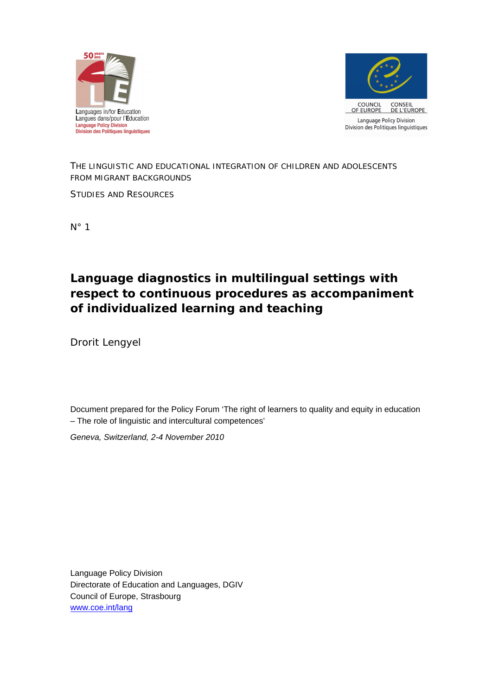



### *THE LINGUISTIC AND EDUCATIONAL INTEGRATION OF CHILDREN AND ADOLESCENTS FROM MIGRANT BACKGROUNDS*

STUDIES AND RESOURCES

N° 1

**Language diagnostics in multilingual settings with respect to continuous procedures as accompaniment of individualized learning and teaching**

Drorit Lengyel

Document prepared for the Policy Forum 'The right of learners to quality and equity in education – The role of linguistic and intercultural competences'

*Geneva, Switzerland, 2-4 November 2010*

Language Policy Division Directorate of Education and Languages, DGIV Council of Europe, Strasbourg [www.coe.int/lang](http://www.coe.int/lang)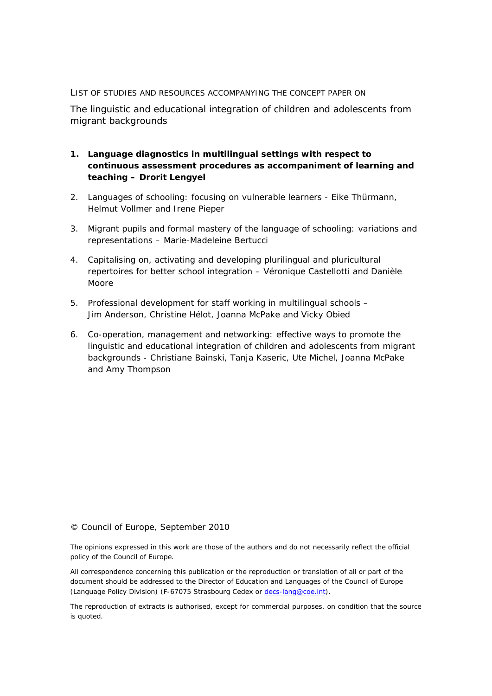#### LIST OF STUDIES AND RESOURCES ACCOMPANYING THE CONCEPT PAPER ON

The linguistic and educational integration of children and adolescents from migrant backgrounds

- **1.** *Language diagnostics in multilingual settings with respect to continuous assessment procedures as accompaniment of learning and teaching* **– Drorit Lengyel**
- 2. *Languages of schooling: focusing on vulnerable learners* Eike Thürmann, Helmut Vollmer and Irene Pieper
- 3. *Migrant pupils and formal mastery of the language of schooling: variations and representations –* Marie-Madeleine Bertucci
- 4. *Capitalising on, activating and developing plurilingual and pluricultural repertoires for better school integration* – Véronique Castellotti and Danièle Moore
- 5. *Professional development for staff working in multilingual schools –* Jim Anderson, Christine Hélot, Joanna McPake and Vicky Obied
- 6. *Co-operation, management and networking: effective ways to promote the linguistic and educational integration of children and adolescents from migrant backgrounds -* Christiane Bainski, Tanja Kaseric, Ute Michel, Joanna McPake and Amy Thompson

#### © Council of Europe, September 2010

The opinions expressed in this work are those of the authors and do not necessarily reflect the official policy of the Council of Europe.

All correspondence concerning this publication or the reproduction or translation of all or part of the document should be addressed to the Director of Education and Languages of the Council of Europe (Language Policy Division) (F-67075 Strasbourg Cedex or [decs-lang@coe.int\)](mailto:decs-lang@coe.int).

The reproduction of extracts is authorised, except for commercial purposes, on condition that the source is quoted.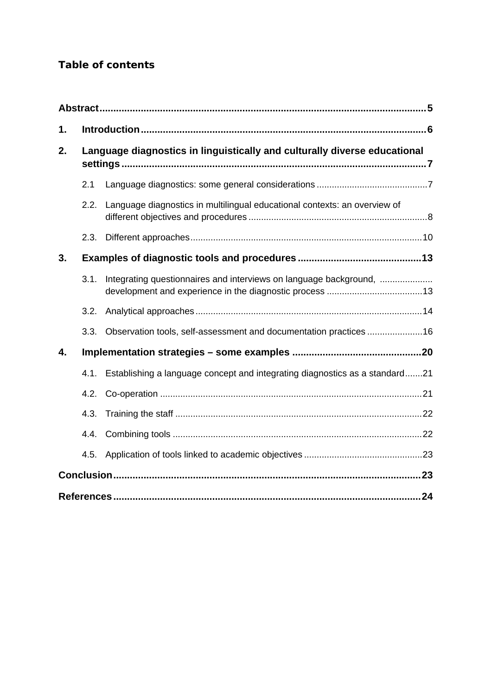# *Table of contents*

| 1. |      |                                                                                  |  |
|----|------|----------------------------------------------------------------------------------|--|
| 2. |      | Language diagnostics in linguistically and culturally diverse educational        |  |
|    | 2.1  |                                                                                  |  |
|    | 2.2. | Language diagnostics in multilingual educational contexts: an overview of        |  |
|    | 2.3. |                                                                                  |  |
| 3. |      |                                                                                  |  |
|    | 3.1. | Integrating questionnaires and interviews on language background,                |  |
|    | 3.2. |                                                                                  |  |
|    | 3.3. | Observation tools, self-assessment and documentation practices 16                |  |
| 4. |      |                                                                                  |  |
|    |      | 4.1. Establishing a language concept and integrating diagnostics as a standard21 |  |
|    |      |                                                                                  |  |
|    | 4.3. |                                                                                  |  |
|    |      |                                                                                  |  |
|    | 4.5. |                                                                                  |  |
|    |      |                                                                                  |  |
| 24 |      |                                                                                  |  |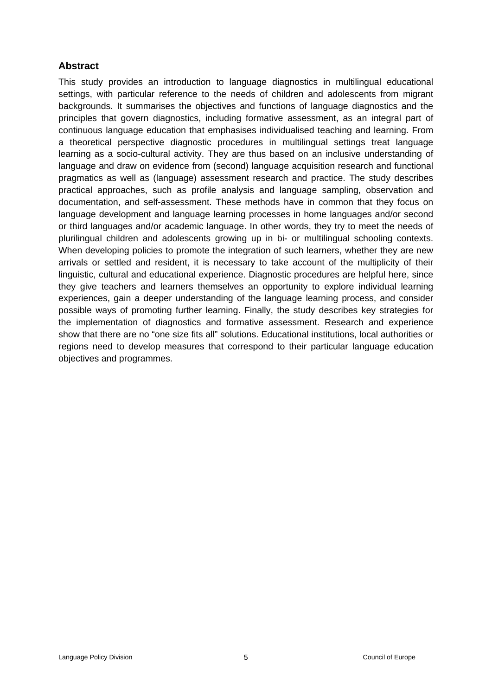# <span id="page-4-0"></span>**Abstract**

This study provides an introduction to language diagnostics in multilingual educational settings, with particular reference to the needs of children and adolescents from migrant backgrounds. It summarises the objectives and functions of language diagnostics and the principles that govern diagnostics, including formative assessment, as an integral part of continuous language education that emphasises individualised teaching and learning. From a theoretical perspective diagnostic procedures in multilingual settings treat language learning as a socio-cultural activity. They are thus based on an inclusive understanding of language and draw on evidence from (second) language acquisition research and functional pragmatics as well as (language) assessment research and practice. The study describes practical approaches, such as profile analysis and language sampling, observation and documentation, and self-assessment. These methods have in common that they focus on language development and language learning processes in home languages and/or second or third languages and/or academic language. In other words, they try to meet the needs of plurilingual children and adolescents growing up in bi- or multilingual schooling contexts. When developing policies to promote the integration of such learners, whether they are new arrivals or settled and resident, it is necessary to take account of the multiplicity of their linguistic, cultural and educational experience. Diagnostic procedures are helpful here, since they give teachers and learners themselves an opportunity to explore individual learning experiences, gain a deeper understanding of the language learning process, and consider possible ways of promoting further learning. Finally, the study describes key strategies for the implementation of diagnostics and formative assessment. Research and experience show that there are no "one size fits all" solutions. Educational institutions, local authorities or regions need to develop measures that correspond to their particular language education objectives and programmes.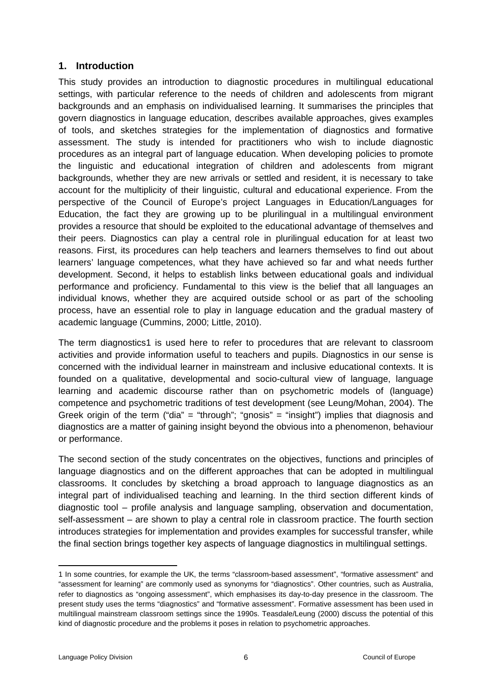### <span id="page-5-0"></span>**1. Introduction**

This study provides an introduction to diagnostic procedures in multilingual educational settings, with particular reference to the needs of children and adolescents from migrant backgrounds and an emphasis on individualised learning. It summarises the principles that govern diagnostics in language education, describes available approaches, gives examples of tools, and sketches strategies for the implementation of diagnostics and formative assessment. The study is intended for practitioners who wish to include diagnostic procedures as an integral part of language education. When developing policies to promote the linguistic and educational integration of children and adolescents from migrant backgrounds, whether they are new arrivals or settled and resident, it is necessary to take account for the multiplicity of their linguistic, cultural and educational experience. From the perspective of the Council of Europe's project Languages in Education/Languages for Education, the fact they are growing up to be plurilingual in a multilingual environment provides a resource that should be exploited to the educational advantage of themselves and their peers. Diagnostics can play a central role in plurilingual education for at least two reasons. First, its procedures can help teachers and learners themselves to find out about learners' language competences, what they have achieved so far and what needs further development. Second, it helps to establish links between educational goals and individual performance and proficiency. Fundamental to this view is the belief that all languages an individual knows, whether they are acquired outside school or as part of the schooling process, have an essential role to play in language education and the gradual mastery of academic language (Cummins, 2000; Little, 2010).

The term diagnostics1 is used here to refer to procedures that are relevant to classroom activities and provide information useful to teachers and pupils. Diagnostics in our sense is concerned with the individual learner in mainstream and inclusive educational contexts. It is founded on a qualitative, developmental and socio-cultural view of language, language learning and academic discourse rather than on psychometric models of (language) competence and psychometric traditions of test development (see Leung/Mohan, 2004). The Greek origin of the term ("dia" = "through"; "gnosis" = "insight") implies that diagnosis and diagnostics are a matter of gaining insight beyond the obvious into a phenomenon, behaviour or performance.

The second section of the study concentrates on the objectives, functions and principles of language diagnostics and on the different approaches that can be adopted in multilingual classrooms. It concludes by sketching a broad approach to language diagnostics as an integral part of individualised teaching and learning. In the third section different kinds of diagnostic tool – profile analysis and language sampling, observation and documentation, self-assessment – are shown to play a central role in classroom practice. The fourth section introduces strategies for implementation and provides examples for successful transfer, while the final section brings together key aspects of language diagnostics in multilingual settings.

<sup>1</sup> In some countries, for example the UK, the terms "classroom-based assessment", "formative assessment" and "assessment for learning" are commonly used as synonyms for "diagnostics". Other countries, such as Australia, refer to diagnostics as "ongoing assessment", which emphasises its day-to-day presence in the classroom. The present study uses the terms "diagnostics" and "formative assessment". Formative assessment has been used in multilingual mainstream classroom settings since the 1990s. Teasdale/Leung (2000) discuss the potential of this kind of diagnostic procedure and the problems it poses in relation to psychometric approaches.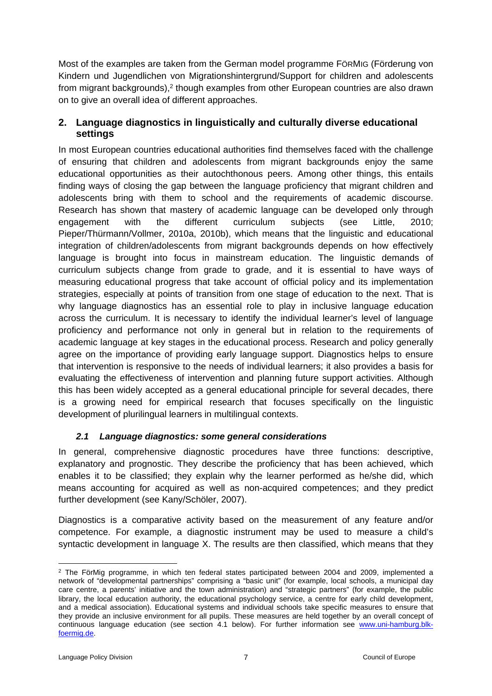Most of the examples are taken from the German model programme FÖRMIG (Förderung von Kindern und Jugendlichen von Migrationshintergrund/Support for children and adolescents from migrant backgrounds),<sup>2</sup> though examples from other European countries are also drawn on to give an overall idea of different approaches.

## <span id="page-6-0"></span>**2. Language diagnostics in linguistically and culturally diverse educational settings**

In most European countries educational authorities find themselves faced with the challenge of ensuring that children and adolescents from migrant backgrounds enjoy the same educational opportunities as their autochthonous peers. Among other things, this entails finding ways of closing the gap between the language proficiency that migrant children and adolescents bring with them to school and the requirements of academic discourse. Research has shown that mastery of academic language can be developed only through engagement with the different curriculum subjects (see Little, 2010; Pieper/Thürmann/Vollmer, 2010a, 2010b), which means that the linguistic and educational integration of children/adolescents from migrant backgrounds depends on how effectively language is brought into focus in mainstream education. The linguistic demands of curriculum subjects change from grade to grade, and it is essential to have ways of measuring educational progress that take account of official policy and its implementation strategies, especially at points of transition from one stage of education to the next. That is why language diagnostics has an essential role to play in inclusive language education across the curriculum. It is necessary to identify the individual learner's level of language proficiency and performance not only in general but in relation to the requirements of academic language at key stages in the educational process. Research and policy generally agree on the importance of providing early language support. Diagnostics helps to ensure that intervention is responsive to the needs of individual learners; it also provides a basis for evaluating the effectiveness of intervention and planning future support activities. Although this has been widely accepted as a general educational principle for several decades, there is a growing need for empirical research that focuses specifically on the linguistic development of plurilingual learners in multilingual contexts.

### <span id="page-6-1"></span>*2.1 Language diagnostics: some general considerations*

In general, comprehensive diagnostic procedures have three functions: descriptive, explanatory and prognostic. They describe the proficiency that has been achieved, which enables it to be classified; they explain why the learner performed as he/she did, which means accounting for acquired as well as non-acquired competences; and they predict further development (see Kany/Schöler, 2007).

Diagnostics is a comparative activity based on the measurement of any feature and/or competence. For example, a diagnostic instrument may be used to measure a child's syntactic development in language X. The results are then classified, which means that they

<sup>&</sup>lt;sup>2</sup> The FörMig programme, in which ten federal states participated between 2004 and 2009, implemented a network of "developmental partnerships" comprising a "basic unit" (for example, local schools, a municipal day care centre, a parents' initiative and the town administration) and "strategic partners" (for example, the public library, the local education authority, the educational psychology service, a centre for early child development, and a medical association). Educational systems and individual schools take specific measures to ensure that they provide an inclusive environment for all pupils. These measures are held together by an overall concept of continuous language education (see section 4.1 below). For further information see [www.uni-hamburg.blk](http://www.uni-hamburg.blk-foermig.de/)[foermig.de](http://www.uni-hamburg.blk-foermig.de/).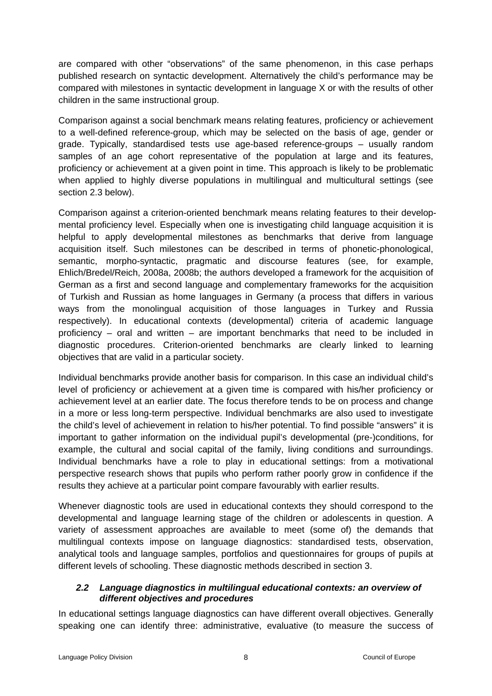are compared with other "observations" of the same phenomenon, in this case perhaps published research on syntactic development. Alternatively the child's performance may be compared with milestones in syntactic development in language X or with the results of other children in the same instructional group.

Comparison against a social benchmark means relating features, proficiency or achievement to a well-defined reference-group, which may be selected on the basis of age, gender or grade. Typically, standardised tests use age-based reference-groups – usually random samples of an age cohort representative of the population at large and its features, proficiency or achievement at a given point in time. This approach is likely to be problematic when applied to highly diverse populations in multilingual and multicultural settings (see section 2.3 below).

Comparison against a criterion-oriented benchmark means relating features to their developmental proficiency level. Especially when one is investigating child language acquisition it is helpful to apply developmental milestones as benchmarks that derive from language acquisition itself. Such milestones can be described in terms of phonetic-phonological, semantic, morpho-syntactic, pragmatic and discourse features (see, for example, Ehlich/Bredel/Reich, 2008a, 2008b; the authors developed a framework for the acquisition of German as a first and second language and complementary frameworks for the acquisition of Turkish and Russian as home languages in Germany (a process that differs in various ways from the monolingual acquisition of those languages in Turkey and Russia respectively). In educational contexts (developmental) criteria of academic language proficiency – oral and written – are important benchmarks that need to be included in diagnostic procedures. Criterion-oriented benchmarks are clearly linked to learning objectives that are valid in a particular society.

Individual benchmarks provide another basis for comparison. In this case an individual child's level of proficiency or achievement at a given time is compared with his/her proficiency or achievement level at an earlier date. The focus therefore tends to be on process and change in a more or less long-term perspective. Individual benchmarks are also used to investigate the child's level of achievement in relation to his/her potential. To find possible "answers" it is important to gather information on the individual pupil's developmental (pre-)conditions, for example, the cultural and social capital of the family, living conditions and surroundings. Individual benchmarks have a role to play in educational settings: from a motivational perspective research shows that pupils who perform rather poorly grow in confidence if the results they achieve at a particular point compare favourably with earlier results.

Whenever diagnostic tools are used in educational contexts they should correspond to the developmental and language learning stage of the children or adolescents in question. A variety of assessment approaches are available to meet (some of) the demands that multilingual contexts impose on language diagnostics: standardised tests, observation, analytical tools and language samples, portfolios and questionnaires for groups of pupils at different levels of schooling. These diagnostic methods described in section 3.

### <span id="page-7-0"></span>*2.2 Language diagnostics in multilingual educational contexts: an overview of different objectives and procedures*

In educational settings language diagnostics can have different overall objectives. Generally speaking one can identify three: administrative, evaluative (to measure the success of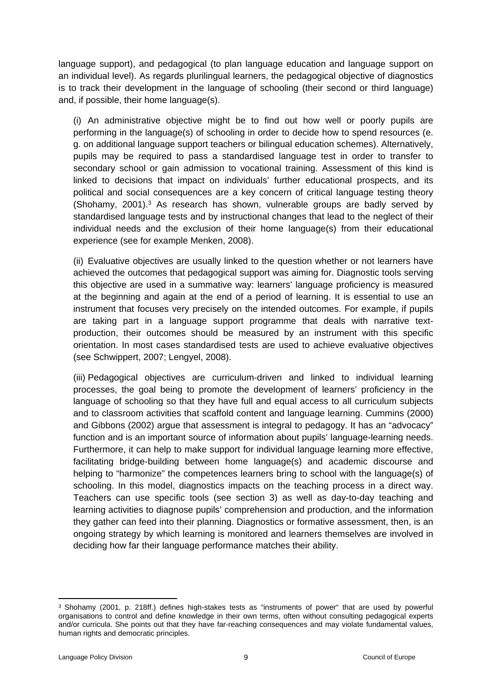language support), and pedagogical (to plan language education and language support on an individual level). As regards plurilingual learners, the pedagogical objective of diagnostics is to track their development in the language of schooling (their second or third language) and, if possible, their home language(s).

(i) An administrative objective might be to find out how well or poorly pupils are performing in the language(s) of schooling in order to decide how to spend resources (e. g. on additional language support teachers or bilingual education schemes). Alternatively, pupils may be required to pass a standardised language test in order to transfer to secondary school or gain admission to vocational training. Assessment of this kind is linked to decisions that impact on individuals' further educational prospects, and its political and social consequences are a key concern of critical language testing theory (Shohamy, 2001).<sup>3</sup> As research has shown, vulnerable groups are badly served by standardised language tests and by instructional changes that lead to the neglect of their individual needs and the exclusion of their home language(s) from their educational experience (see for example Menken, 2008).

(ii) Evaluative objectives are usually linked to the question whether or not learners have achieved the outcomes that pedagogical support was aiming for. Diagnostic tools serving this objective are used in a summative way: learners' language proficiency is measured at the beginning and again at the end of a period of learning. It is essential to use an instrument that focuses very precisely on the intended outcomes. For example, if pupils are taking part in a language support programme that deals with narrative textproduction, their outcomes should be measured by an instrument with this specific orientation. In most cases standardised tests are used to achieve evaluative objectives (see Schwippert, 2007; Lengyel, 2008).

(iii) Pedagogical objectives are curriculum-driven and linked to individual learning processes, the goal being to promote the development of learners' proficiency in the language of schooling so that they have full and equal access to all curriculum subjects and to classroom activities that scaffold content and language learning. Cummins (2000) and Gibbons (2002) argue that assessment is integral to pedagogy. It has an "advocacy" function and is an important source of information about pupils' language-learning needs. Furthermore, it can help to make support for individual language learning more effective, facilitating bridge-building between home language(s) and academic discourse and helping to "harmonize" the competences learners bring to school with the language(s) of schooling. In this model, diagnostics impacts on the teaching process in a direct way. Teachers can use specific tools (see section 3) as well as day-to-day teaching and learning activities to diagnose pupils' comprehension and production, and the information they gather can feed into their planning. Diagnostics or formative assessment, then, is an ongoing strategy by which learning is monitored and learners themselves are involved in deciding how far their language performance matches their ability.

<sup>3</sup> Shohamy (2001, p. 218ff.) defines high-stakes tests as "instruments of power" that are used by powerful organisations to control and define knowledge in their own terms, often without consulting pedagogical experts and/or curricula. She points out that they have far-reaching consequences and may violate fundamental values, human rights and democratic principles.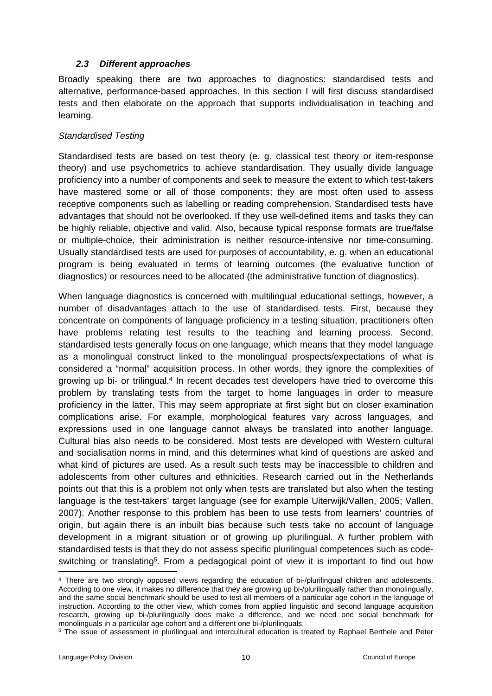#### <span id="page-9-0"></span>*2.3 Different approaches*

Broadly speaking there are two approaches to diagnostics: standardised tests and alternative, performance-based approaches. In this section I will first discuss standardised tests and then elaborate on the approach that supports individualisation in teaching and learning.

#### *Standardised Testing*

Standardised tests are based on test theory (e. g. classical test theory or item-response theory) and use psychometrics to achieve standardisation. They usually divide language proficiency into a number of components and seek to measure the extent to which test-takers have mastered some or all of those components; they are most often used to assess receptive components such as labelling or reading comprehension. Standardised tests have advantages that should not be overlooked. If they use well-defined items and tasks they can be highly reliable, objective and valid. Also, because typical response formats are true/false or multiple-choice, their administration is neither resource-intensive nor time-consuming. Usually standardised tests are used for purposes of accountability, e. g. when an educational program is being evaluated in terms of learning outcomes (the evaluative function of diagnostics) or resources need to be allocated (the administrative function of diagnostics).

When language diagnostics is concerned with multilingual educational settings, however, a number of disadvantages attach to the use of standardised tests. First, because they concentrate on components of language proficiency in a testing situation, practitioners often have problems relating test results to the teaching and learning process. Second, standardised tests generally focus on one language, which means that they model language as a monolingual construct linked to the monolingual prospects/expectations of what is considered a "normal" acquisition process. In other words, they ignore the complexities of growing up bi- or trilingual.<sup>4</sup> In recent decades test developers have tried to overcome this problem by translating tests from the target to home languages in order to measure proficiency in the latter. This may seem appropriate at first sight but on closer examination complications arise. For example, morphological features vary across languages, and expressions used in one language cannot always be translated into another language. Cultural bias also needs to be considered. Most tests are developed with Western cultural and socialisation norms in mind, and this determines what kind of questions are asked and what kind of pictures are used. As a result such tests may be inaccessible to children and adolescents from other cultures and ethnicities. Research carried out in the Netherlands points out that this is a problem not only when tests are translated but also when the testing language is the test-takers' target language (see for example Uiterwijk/Vallen, 2005; Vallen, 2007). Another response to this problem has been to use tests from learners' countries of origin, but again there is an inbuilt bias because such tests take no account of language development in a migrant situation or of growing up plurilingual. A further problem with standardised tests is that they do not assess specific plurilingual competences such as codeswitching or translating<sup>5</sup>. From a pedagogical point of view it is important to find out how

<sup>4</sup> There are two strongly opposed views regarding the education of bi-/plurilingual children and adolescents. According to one view, it makes no difference that they are growing up bi-/plurilingually rather than monolingually, and the same social benchmark should be used to test all members of a particular age cohort in the language of instruction. According to the other view, which comes from applied linguistic and second language acquisition research, growing up bi-/plurilingually does make a difference, and we need one social benchmark for monolinguals in a particular age cohort and a different one bi-/plurilinguals.

<sup>5</sup> The issue of assessment in plurilingual and intercultural education is treated by Raphael Berthele and Peter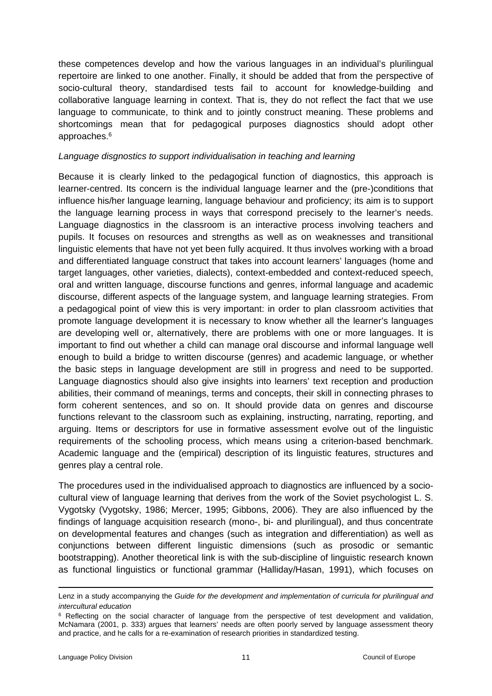these competences develop and how the various languages in an individual's plurilingual repertoire are linked to one another. Finally, it should be added that from the perspective of socio-cultural theory, standardised tests fail to account for knowledge-building and collaborative language learning in context. That is, they do not reflect the fact that we use language to communicate, to think and to jointly construct meaning. These problems and shortcomings mean that for pedagogical purposes diagnostics should adopt other approaches.<sup>6</sup>

#### *Language disgnostics to support individualisation in teaching and learning*

Because it is clearly linked to the pedagogical function of diagnostics, this approach is learner-centred. Its concern is the individual language learner and the (pre-)conditions that influence his/her language learning, language behaviour and proficiency; its aim is to support the language learning process in ways that correspond precisely to the learner's needs. Language diagnostics in the classroom is an interactive process involving teachers and pupils. It focuses on resources and strengths as well as on weaknesses and transitional linguistic elements that have not yet been fully acquired. It thus involves working with a broad and differentiated language construct that takes into account learners' languages (home and target languages, other varieties, dialects), context-embedded and context-reduced speech, oral and written language, discourse functions and genres, informal language and academic discourse, different aspects of the language system, and language learning strategies. From a pedagogical point of view this is very important: in order to plan classroom activities that promote language development it is necessary to know whether all the learner's languages are developing well or, alternatively, there are problems with one or more languages. It is important to find out whether a child can manage oral discourse and informal language well enough to build a bridge to written discourse (genres) and academic language, or whether the basic steps in language development are still in progress and need to be supported. Language diagnostics should also give insights into learners' text reception and production abilities, their command of meanings, terms and concepts, their skill in connecting phrases to form coherent sentences, and so on. It should provide data on genres and discourse functions relevant to the classroom such as explaining, instructing, narrating, reporting, and arguing. Items or descriptors for use in formative assessment evolve out of the linguistic requirements of the schooling process, which means using a criterion-based benchmark. Academic language and the (empirical) description of its linguistic features, structures and genres play a central role.

The procedures used in the individualised approach to diagnostics are influenced by a sociocultural view of language learning that derives from the work of the Soviet psychologist L. S. Vygotsky (Vygotsky, 1986; Mercer, 1995; Gibbons, 2006). They are also influenced by the findings of language acquisition research (mono-, bi- and plurilingual), and thus concentrate on developmental features and changes (such as integration and differentiation) as well as conjunctions between different linguistic dimensions (such as prosodic or semantic bootstrapping). Another theoretical link is with the sub-discipline of linguistic research known as functional linguistics or functional grammar (Halliday/Hasan, 1991), which focuses on

Lenz in a study accompanying the *Guide for the development and implementation of curricula for plurilingual and intercultural education*

<sup>&</sup>lt;sup>6</sup> Reflecting on the social character of language from the perspective of test development and validation, McNamara (2001, p. 333) argues that learners' needs are often poorly served by language assessment theory and practice, and he calls for a re-examination of research priorities in standardized testing.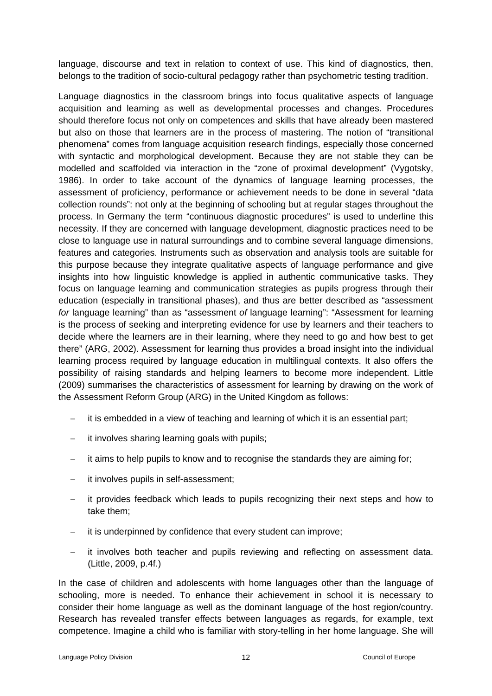language, discourse and text in relation to context of use. This kind of diagnostics, then, belongs to the tradition of socio-cultural pedagogy rather than psychometric testing tradition.

Language diagnostics in the classroom brings into focus qualitative aspects of language acquisition and learning as well as developmental processes and changes. Procedures should therefore focus not only on competences and skills that have already been mastered but also on those that learners are in the process of mastering. The notion of "transitional phenomena" comes from language acquisition research findings, especially those concerned with syntactic and morphological development. Because they are not stable they can be modelled and scaffolded via interaction in the "zone of proximal development" (Vygotsky, 1986). In order to take account of the dynamics of language learning processes, the assessment of proficiency, performance or achievement needs to be done in several "data collection rounds": not only at the beginning of schooling but at regular stages throughout the process. In Germany the term "continuous diagnostic procedures" is used to underline this necessity. If they are concerned with language development, diagnostic practices need to be close to language use in natural surroundings and to combine several language dimensions, features and categories. Instruments such as observation and analysis tools are suitable for this purpose because they integrate qualitative aspects of language performance and give insights into how linguistic knowledge is applied in authentic communicative tasks. They focus on language learning and communication strategies as pupils progress through their education (especially in transitional phases), and thus are better described as "assessment *for* language learning" than as "assessment *of* language learning": "Assessment for learning is the process of seeking and interpreting evidence for use by learners and their teachers to decide where the learners are in their learning, where they need to go and how best to get there" (ARG, 2002). Assessment for learning thus provides a broad insight into the individual learning process required by language education in multilingual contexts. It also offers the possibility of raising standards and helping learners to become more independent. Little (2009) summarises the characteristics of assessment for learning by drawing on the work of the Assessment Reform Group (ARG) in the United Kingdom as follows:

- it is embedded in a view of teaching and learning of which it is an essential part;
- it involves sharing learning goals with pupils;
- it aims to help pupils to know and to recognise the standards they are aiming for;
- it involves pupils in self-assessment;
- it provides feedback which leads to pupils recognizing their next steps and how to take them;
- $\overline{-}$  it is underpinned by confidence that every student can improve;
- it involves both teacher and pupils reviewing and reflecting on assessment data. (Little, 2009, p.4f.)

In the case of children and adolescents with home languages other than the language of schooling, more is needed. To enhance their achievement in school it is necessary to consider their home language as well as the dominant language of the host region/country. Research has revealed transfer effects between languages as regards, for example, text competence. Imagine a child who is familiar with story-telling in her home language. She will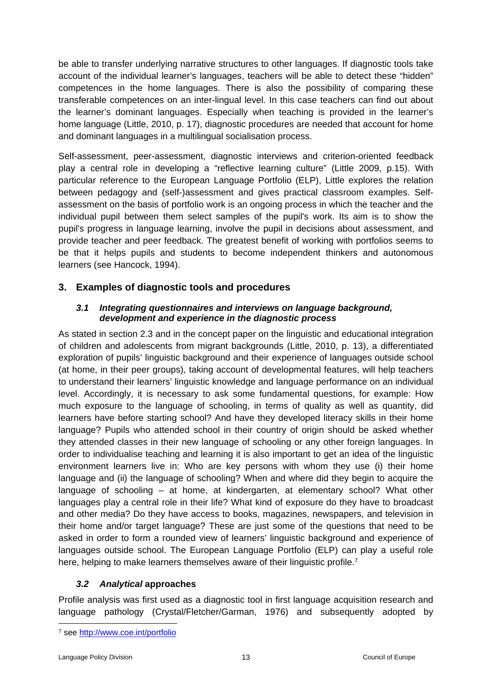be able to transfer underlying narrative structures to other languages. If diagnostic tools take account of the individual learner's languages, teachers will be able to detect these "hidden" competences in the home languages. There is also the possibility of comparing these transferable competences on an inter-lingual level. In this case teachers can find out about the learner's dominant languages. Especially when teaching is provided in the learner's home language (Little, 2010, p. 17), diagnostic procedures are needed that account for home and dominant languages in a multilingual socialisation process.

Self-assessment, peer-assessment, diagnostic interviews and criterion-oriented feedback play a central role in developing a "reflective learning culture" (Little 2009, p.15). With particular reference to the European Language Portfolio (ELP), Little explores the relation between pedagogy and (self-)assessment and gives practical classroom examples. Selfassessment on the basis of portfolio work is an ongoing process in which the teacher and the individual pupil between them select samples of the pupil's work. Its aim is to show the pupil's progress in language learning, involve the pupil in decisions about assessment, and provide teacher and peer feedback. The greatest benefit of working with portfolios seems to be that it helps pupils and students to become independent thinkers and autonomous learners (see Hancock, 1994).

### <span id="page-12-0"></span>**3. Examples of diagnostic tools and procedures**

#### <span id="page-12-1"></span>*3.1 Integrating questionnaires and interviews on language background, development and experience in the diagnostic process*

As stated in section 2.3 and in the concept paper on the linguistic and educational integration of children and adolescents from migrant backgrounds (Little, 2010, p. 13), a differentiated exploration of pupils' linguistic background and their experience of languages outside school (at home, in their peer groups), taking account of developmental features, will help teachers to understand their learners' linguistic knowledge and language performance on an individual level. Accordingly, it is necessary to ask some fundamental questions, for example: How much exposure to the language of schooling, in terms of quality as well as quantity, did learners have before starting school? And have they developed literacy skills in their home language? Pupils who attended school in their country of origin should be asked whether they attended classes in their new language of schooling or any other foreign languages. In order to individualise teaching and learning it is also important to get an idea of the linguistic environment learners live in: Who are key persons with whom they use (i) their home language and (ii) the language of schooling? When and where did they begin to acquire the language of schooling – at home, at kindergarten, at elementary school? What other languages play a central role in their life? What kind of exposure do they have to broadcast and other media? Do they have access to books, magazines, newspapers, and television in their home and/or target language? These are just some of the questions that need to be asked in order to form a rounded view of learners' linguistic background and experience of languages outside school. The European Language Portfolio (ELP) can play a useful role here, helping to make learners themselves aware of their linguistic profile.<sup>7</sup>

### <span id="page-12-2"></span>*3.2 Analytical* **approaches**

Profile analysis was first used as a diagnostic tool in first language acquisition research and language pathology (Crystal/Fletcher/Garman, 1976) and subsequently adopted by

<sup>7</sup> see <http://www.coe.int/portfolio>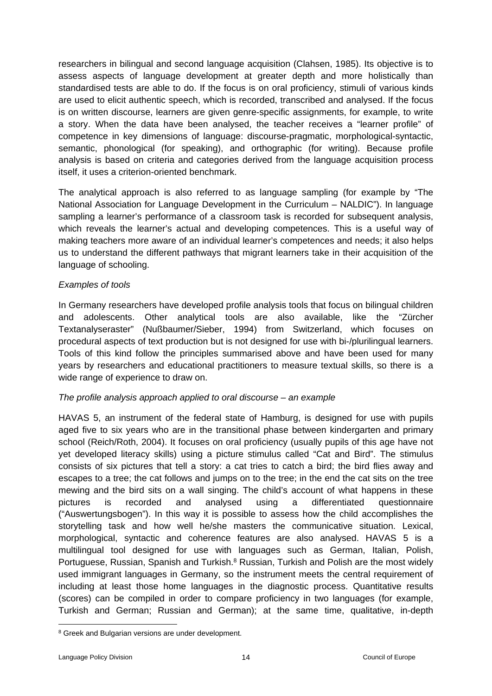researchers in bilingual and second language acquisition (Clahsen, 1985). Its objective is to assess aspects of language development at greater depth and more holistically than standardised tests are able to do. If the focus is on oral proficiency, stimuli of various kinds are used to elicit authentic speech, which is recorded, transcribed and analysed. If the focus is on written discourse, learners are given genre-specific assignments, for example, to write a story. When the data have been analysed, the teacher receives a "learner profile" of competence in key dimensions of language: discourse-pragmatic, morphological-syntactic, semantic, phonological (for speaking), and orthographic (for writing). Because profile analysis is based on criteria and categories derived from the language acquisition process itself, it uses a criterion-oriented benchmark.

The analytical approach is also referred to as language sampling (for example by "The National Association for Language Development in the Curriculum – NALDIC"). In language sampling a learner's performance of a classroom task is recorded for subsequent analysis, which reveals the learner's actual and developing competences. This is a useful way of making teachers more aware of an individual learner's competences and needs; it also helps us to understand the different pathways that migrant learners take in their acquisition of the language of schooling.

### *Examples of tools*

In Germany researchers have developed profile analysis tools that focus on bilingual children and adolescents. Other analytical tools are also available, like the "Zürcher Textanalyseraster" (Nußbaumer/Sieber, 1994) from Switzerland, which focuses on procedural aspects of text production but is not designed for use with bi-/plurilingual learners. Tools of this kind follow the principles summarised above and have been used for many years by researchers and educational practitioners to measure textual skills, so there is a wide range of experience to draw on.

#### *The profile analysis approach applied to oral discourse – an example*

HAVAS 5, an instrument of the federal state of Hamburg, is designed for use with pupils aged five to six years who are in the transitional phase between kindergarten and primary school (Reich/Roth, 2004). It focuses on oral proficiency (usually pupils of this age have not yet developed literacy skills) using a picture stimulus called "Cat and Bird". The stimulus consists of six pictures that tell a story: a cat tries to catch a bird; the bird flies away and escapes to a tree; the cat follows and jumps on to the tree; in the end the cat sits on the tree mewing and the bird sits on a wall singing. The child's account of what happens in these pictures is recorded and analysed using a differentiated questionnaire ("Auswertungsbogen"). In this way it is possible to assess how the child accomplishes the storytelling task and how well he/she masters the communicative situation. Lexical, morphological, syntactic and coherence features are also analysed. HAVAS 5 is a multilingual tool designed for use with languages such as German, Italian, Polish, Portuguese, Russian, Spanish and Turkish.<sup>8</sup> Russian, Turkish and Polish are the most widely used immigrant languages in Germany, so the instrument meets the central requirement of including at least those home languages in the diagnostic process. Quantitative results (scores) can be compiled in order to compare proficiency in two languages (for example, Turkish and German; Russian and German); at the same time, qualitative, in-depth

<sup>8</sup> Greek and Bulgarian versions are under development.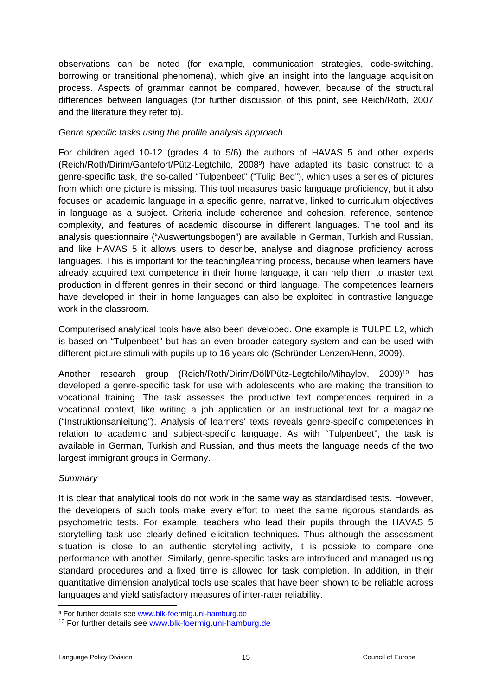observations can be noted (for example, communication strategies, code-switching, borrowing or transitional phenomena), which give an insight into the language acquisition process. Aspects of grammar cannot be compared, however, because of the structural differences between languages (for further discussion of this point, see Reich/Roth, 2007 and the literature they refer to).

### *Genre specific tasks using the profile analysis approach*

For children aged 10-12 (grades 4 to 5/6) the authors of HAVAS 5 and other experts (Reich/Roth/Dirim/Gantefort/Pütz-Legtchilo, 2008<sup>9</sup> ) have adapted its basic construct to a genre-specific task, the so-called "Tulpenbeet" ("Tulip Bed"), which uses a series of pictures from which one picture is missing. This tool measures basic language proficiency, but it also focuses on academic language in a specific genre, narrative, linked to curriculum objectives in language as a subject. Criteria include coherence and cohesion, reference, sentence complexity, and features of academic discourse in different languages. The tool and its analysis questionnaire ("Auswertungsbogen") are available in German, Turkish and Russian, and like HAVAS 5 it allows users to describe, analyse and diagnose proficiency across languages. This is important for the teaching/learning process, because when learners have already acquired text competence in their home language, it can help them to master text production in different genres in their second or third language. The competences learners have developed in their in home languages can also be exploited in contrastive language work in the classroom.

Computerised analytical tools have also been developed. One example is TULPE L2, which is based on "Tulpenbeet" but has an even broader category system and can be used with different picture stimuli with pupils up to 16 years old (Schründer-Lenzen/Henn, 2009).

Another research group (Reich/Roth/Dirim/Döll/Pütz-Legtchilo/Mihaylov, 2009)<sup>10</sup> has developed a genre-specific task for use with adolescents who are making the transition to vocational training. The task assesses the productive text competences required in a vocational context, like writing a job application or an instructional text for a magazine ("Instruktionsanleitung"). Analysis of learners' texts reveals genre-specific competences in relation to academic and subject-specific language. As with "Tulpenbeet", the task is available in German, Turkish and Russian, and thus meets the language needs of the two largest immigrant groups in Germany.

### *Summary*

It is clear that analytical tools do not work in the same way as standardised tests. However, the developers of such tools make every effort to meet the same rigorous standards as psychometric tests. For example, teachers who lead their pupils through the HAVAS 5 storytelling task use clearly defined elicitation techniques. Thus although the assessment situation is close to an authentic storytelling activity, it is possible to compare one performance with another. Similarly, genre-specific tasks are introduced and managed using standard procedures and a fixed time is allowed for task completion. In addition, in their quantitative dimension analytical tools use scales that have been shown to be reliable across languages and yield satisfactory measures of inter-rater reliability.

<sup>9</sup> For further details see [www.blk-foermig.uni-hamburg.de](http://www.blk-foermig.uni-hamburg.de/)

<sup>10</sup> For further details see [www.blk-foermig.uni-hamburg.de](http://www.blk-foermig.uni-hamburg.de/)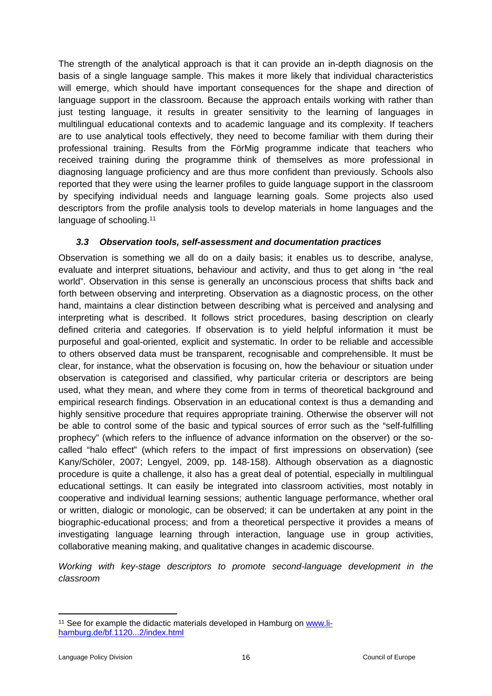The strength of the analytical approach is that it can provide an in-depth diagnosis on the basis of a single language sample. This makes it more likely that individual characteristics will emerge, which should have important consequences for the shape and direction of language support in the classroom. Because the approach entails working with rather than just testing language, it results in greater sensitivity to the learning of languages in multilingual educational contexts and to academic language and its complexity. If teachers are to use analytical tools effectively, they need to become familiar with them during their professional training. Results from the FörMig programme indicate that teachers who received training during the programme think of themselves as more professional in diagnosing language proficiency and are thus more confident than previously. Schools also reported that they were using the learner profiles to guide language support in the classroom by specifying individual needs and language learning goals. Some projects also used descriptors from the profile analysis tools to develop materials in home languages and the language of schooling.<sup>11</sup>

### <span id="page-15-0"></span>*3.3 Observation tools, self-assessment and documentation practices*

Observation is something we all do on a daily basis; it enables us to describe, analyse, evaluate and interpret situations, behaviour and activity, and thus to get along in "the real world". Observation in this sense is generally an unconscious process that shifts back and forth between observing and interpreting. Observation as a diagnostic process, on the other hand, maintains a clear distinction between describing what is perceived and analysing and interpreting what is described. It follows strict procedures, basing description on clearly defined criteria and categories. If observation is to yield helpful information it must be purposeful and goal-oriented, explicit and systematic. In order to be reliable and accessible to others observed data must be transparent, recognisable and comprehensible. It must be clear, for instance, what the observation is focusing on, how the behaviour or situation under observation is categorised and classified, why particular criteria or descriptors are being used, what they mean, and where they come from in terms of theoretical background and empirical research findings. Observation in an educational context is thus a demanding and highly sensitive procedure that requires appropriate training. Otherwise the observer will not be able to control some of the basic and typical sources of error such as the "self-fulfilling prophecy" (which refers to the influence of advance information on the observer) or the socalled "halo effect" (which refers to the impact of first impressions on observation) (see Kany/Schöler, 2007; Lengyel, 2009, pp. 148-158). Although observation as a diagnostic procedure is quite a challenge, it also has a great deal of potential, especially in multilingual educational settings. It can easily be integrated into classroom activities, most notably in cooperative and individual learning sessions; authentic language performance, whether oral or written, dialogic or monologic, can be observed; it can be undertaken at any point in the biographic-educational process; and from a theoretical perspective it provides a means of investigating language learning through interaction, language use in group activities, collaborative meaning making, and qualitative changes in academic discourse.

*Working with key-stage descriptors to promote second-language development in the classroom*

<sup>&</sup>lt;sup>11</sup> See for example the didactic materials developed in Hamburg on [www.li](http://www.li-hamburg.de/bf.1120...2/index.html)[hamburg.de/bf.1120...2/index.html](http://www.li-hamburg.de/bf.1120...2/index.html)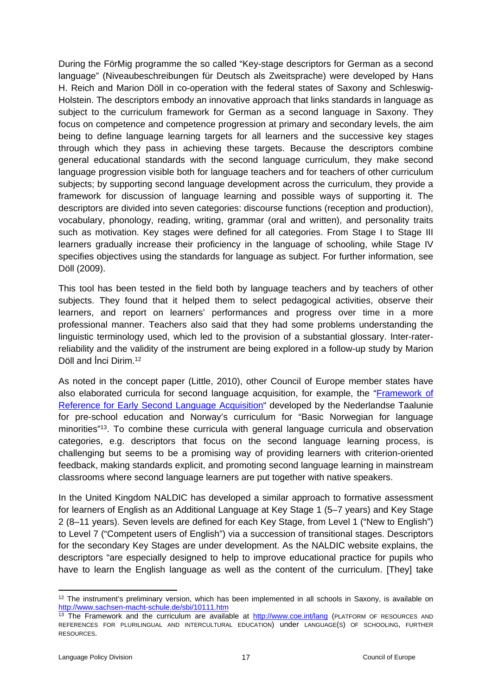During the FörMig programme the so called "Key-stage descriptors for German as a second language" (Niveaubeschreibungen für Deutsch als Zweitsprache) were developed by Hans H. Reich and Marion Döll in co-operation with the federal states of Saxony and Schleswig-Holstein. The descriptors embody an innovative approach that links standards in language as subject to the curriculum framework for German as a second language in Saxony. They focus on competence and competence progression at primary and secondary levels, the aim being to define language learning targets for all learners and the successive key stages through which they pass in achieving these targets. Because the descriptors combine general educational standards with the second language curriculum, they make second language progression visible both for language teachers and for teachers of other curriculum subjects; by supporting second language development across the curriculum, they provide a framework for discussion of language learning and possible ways of supporting it. The descriptors are divided into seven categories: discourse functions (reception and production), vocabulary, phonology, reading, writing, grammar (oral and written), and personality traits such as motivation. Key stages were defined for all categories. From Stage I to Stage III learners gradually increase their proficiency in the language of schooling, while Stage IV specifies objectives using the standards for language as subject. For further information, see Döll (2009).

This tool has been tested in the field both by language teachers and by teachers of other subjects. They found that it helped them to select pedagogical activities, observe their learners, and report on learners' performances and progress over time in a more professional manner. Teachers also said that they had some problems understanding the linguistic terminology used, which led to the provision of a substantial glossary. Inter-raterreliability and the validity of the instrument are being explored in a follow-up study by Marion Döll and İnci Dirim.<sup>12</sup>

As noted in the concept paper (Little, 2010), other Council of Europe member states have also elaborated curricula for second language acquisition, for example, the "[Framework](http://www.coe.int/t/dg4/linguistic/Source/LE_texts_Source/Taluunie_en.doc) of Reference for Early Second Language [Acquisition"](http://www.coe.int/t/dg4/linguistic/Source/LE_texts_Source/Taluunie_en.doc) developed by the Nederlandse Taalunie for pre-school education and Norway's curriculum for "Basic Norwegian for language minorities"<sup>13</sup>. To combine these curricula with general language curricula and observation categories, e.g. descriptors that focus on the second language learning process, is challenging but seems to be a promising way of providing learners with criterion-oriented feedback, making standards explicit, and promoting second language learning in mainstream classrooms where second language learners are put together with native speakers.

In the United Kingdom NALDIC has developed a similar approach to formative assessment for learners of English as an Additional Language at Key Stage 1 (5–7 years) and Key Stage 2 (8–11 years). Seven levels are defined for each Key Stage, from Level 1 ("New to English") to Level 7 ("Competent users of English") via a succession of transitional stages. Descriptors for the secondary Key Stages are under development. As the NALDIC website explains, the descriptors "are especially designed to help to improve educational practice for pupils who have to learn the English language as well as the content of the curriculum. [They] take

<sup>&</sup>lt;sup>12</sup> The instrument's preliminary version, which has been implemented in all schools in Saxony, is available on <http://www.sachsen-macht-schule.de/sbi/10111.htm>

<sup>&</sup>lt;sup>13</sup> The Framework and the curriculum are available at <http://www.coe.int/lang> (PLATFORM OF RESOURCES AND REFERENCES FOR PLURILINGUAL AND INTERCULTURAL EDUCATION) under LANGUAGE(S) OF SCHOOLING, FURTHER RESOURCES.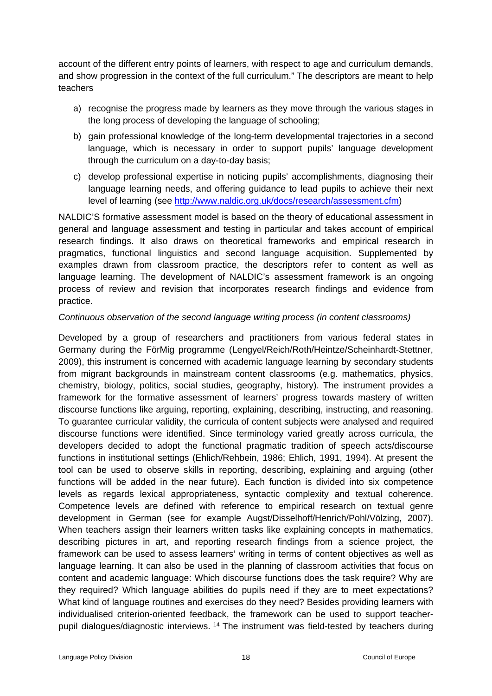account of the different entry points of learners, with respect to age and curriculum demands, and show progression in the context of the full curriculum." The descriptors are meant to help teachers

- a) recognise the progress made by learners as they move through the various stages in the long process of developing the language of schooling;
- b) gain professional knowledge of the long-term developmental trajectories in a second language, which is necessary in order to support pupils' language development through the curriculum on a day-to-day basis;
- c) develop professional expertise in noticing pupils' accomplishments, diagnosing their language learning needs, and offering guidance to lead pupils to achieve their next level of learning (see [http://www.naldic.org.uk/docs/research/assessment.cfm\)](https://webmail.uni-koeln.de/horde-2.2/util/go.php?url=http%3A%2F%2Fwww.naldic.org.uk%2Fdocs%2Fresearch%2Fassessment.cfm&Horde=fb180469fca1509e7a85becae4a7b723)

NALDIC'S formative assessment model is based on the theory of educational assessment in general and language assessment and testing in particular and takes account of empirical research findings. It also draws on theoretical frameworks and empirical research in pragmatics, functional linguistics and second language acquisition. Supplemented by examples drawn from classroom practice, the descriptors refer to content as well as language learning. The development of NALDIC's assessment framework is an ongoing process of review and revision that incorporates research findings and evidence from practice.

### *Continuous observation of the second language writing process (in content classrooms)*

Developed by a group of researchers and practitioners from various federal states in Germany during the FörMig programme (Lengyel/Reich/Roth/Heintze/Scheinhardt-Stettner, 2009), this instrument is concerned with academic language learning by secondary students from migrant backgrounds in mainstream content classrooms (e.g. mathematics, physics, chemistry, biology, politics, social studies, geography, history). The instrument provides a framework for the formative assessment of learners' progress towards mastery of written discourse functions like arguing, reporting, explaining, describing, instructing, and reasoning. To guarantee curricular validity, the curricula of content subjects were analysed and required discourse functions were identified. Since terminology varied greatly across curricula, the developers decided to adopt the functional pragmatic tradition of speech acts/discourse functions in institutional settings (Ehlich/Rehbein, 1986; Ehlich, 1991, 1994). At present the tool can be used to observe skills in reporting, describing, explaining and arguing (other functions will be added in the near future). Each function is divided into six competence levels as regards lexical appropriateness, syntactic complexity and textual coherence. Competence levels are defined with reference to empirical research on textual genre development in German (see for example Augst/Disselhoff/Henrich/Pohl/Völzing, 2007). When teachers assign their learners written tasks like explaining concepts in mathematics, describing pictures in art, and reporting research findings from a science project, the framework can be used to assess learners' writing in terms of content objectives as well as language learning. It can also be used in the planning of classroom activities that focus on content and academic language: Which discourse functions does the task require? Why are they required? Which language abilities do pupils need if they are to meet expectations? What kind of language routines and exercises do they need? Besides providing learners with individualised criterion-oriented feedback, the framework can be used to support teacherpupil dialogues/diagnostic interviews. <sup>14</sup> The instrument was field-tested by teachers during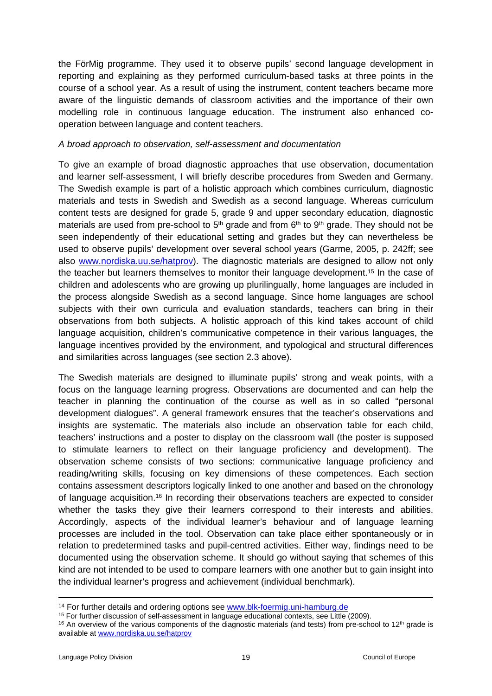the FörMig programme. They used it to observe pupils' second language development in reporting and explaining as they performed curriculum-based tasks at three points in the course of a school year. As a result of using the instrument, content teachers became more aware of the linguistic demands of classroom activities and the importance of their own modelling role in continuous language education. The instrument also enhanced cooperation between language and content teachers.

#### *A broad approach to observation, self-assessment and documentation*

To give an example of broad diagnostic approaches that use observation, documentation and learner self-assessment, I will briefly describe procedures from Sweden and Germany. The Swedish example is part of a holistic approach which combines curriculum, diagnostic materials and tests in Swedish and Swedish as a second language. Whereas curriculum content tests are designed for grade 5, grade 9 and upper secondary education, diagnostic materials are used from pre-school to  $5<sup>th</sup>$  grade and from  $6<sup>th</sup>$  to  $9<sup>th</sup>$  grade. They should not be seen independently of their educational setting and grades but they can nevertheless be used to observe pupils' development over several school years (Garme, 2005, p. 242ff; see also [www.nordiska.uu.se/hatprov\)](http://www.nordiska.uu.se/hatprov). The diagnostic materials are designed to allow not only the teacher but learners themselves to monitor their language development.<sup>15</sup> In the case of children and adolescents who are growing up plurilingually, home languages are included in the process alongside Swedish as a second language. Since home languages are school subjects with their own curricula and evaluation standards, teachers can bring in their observations from both subjects. A holistic approach of this kind takes account of child language acquisition, children's communicative competence in their various languages, the language incentives provided by the environment, and typological and structural differences and similarities across languages (see section 2.3 above).

The Swedish materials are designed to illuminate pupils' strong and weak points, with a focus on the language learning progress. Observations are documented and can help the teacher in planning the continuation of the course as well as in so called "personal development dialogues". A general framework ensures that the teacher's observations and insights are systematic. The materials also include an observation table for each child, teachers' instructions and a poster to display on the classroom wall (the poster is supposed to stimulate learners to reflect on their language proficiency and development). The observation scheme consists of two sections: communicative language proficiency and reading/writing skills, focusing on key dimensions of these competences. Each section contains assessment descriptors logically linked to one another and based on the chronology of language acquisition.<sup>16</sup> In recording their observations teachers are expected to consider whether the tasks they give their learners correspond to their interests and abilities. Accordingly, aspects of the individual learner's behaviour and of language learning processes are included in the tool. Observation can take place either spontaneously or in relation to predetermined tasks and pupil-centred activities. Either way, findings need to be documented using the observation scheme. It should go without saying that schemes of this kind are not intended to be used to compare learners with one another but to gain insight into the individual learner's progress and achievement (individual benchmark).

<sup>&</sup>lt;sup>14</sup> For further details and ordering options see [www.blk-foermig.uni-hamburg.de](http://www.blk-foermig.uni-hamburg.de/)

<sup>15</sup> For further discussion of self-assessment in language educational contexts, see Little (2009).

 $16$  An overview of the various components of the diagnostic materials (and tests) from pre-school to 12<sup>th</sup> grade is available at [www.nordiska.uu.se/hatprov](http://www.nordiska.uu.se/hatprov)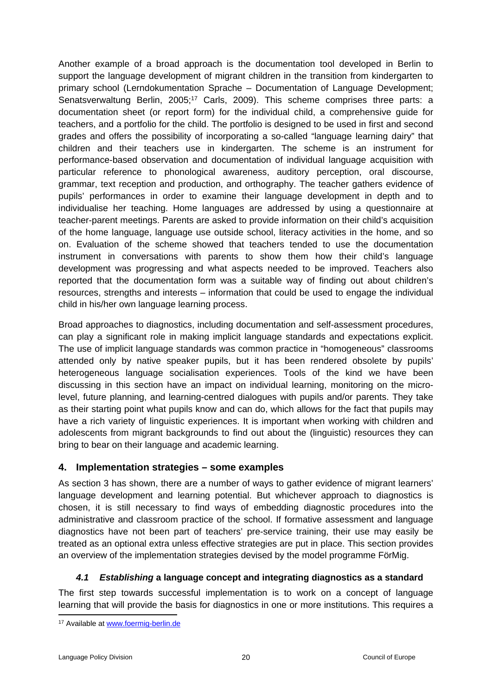Another example of a broad approach is the documentation tool developed in Berlin to support the language development of migrant children in the transition from kindergarten to primary school (Lerndokumentation Sprache – Documentation of Language Development; Senatsverwaltung Berlin, 2005;<sup>17</sup> Carls, 2009). This scheme comprises three parts: a documentation sheet (or report form) for the individual child, a comprehensive guide for teachers, and a portfolio for the child. The portfolio is designed to be used in first and second grades and offers the possibility of incorporating a so-called "language learning dairy" that children and their teachers use in kindergarten. The scheme is an instrument for performance-based observation and documentation of individual language acquisition with particular reference to phonological awareness, auditory perception, oral discourse, grammar, text reception and production, and orthography. The teacher gathers evidence of pupils' performances in order to examine their language development in depth and to individualise her teaching. Home languages are addressed by using a questionnaire at teacher-parent meetings. Parents are asked to provide information on their child's acquisition of the home language, language use outside school, literacy activities in the home, and so on. Evaluation of the scheme showed that teachers tended to use the documentation instrument in conversations with parents to show them how their child's language development was progressing and what aspects needed to be improved. Teachers also reported that the documentation form was a suitable way of finding out about children's resources, strengths and interests – information that could be used to engage the individual child in his/her own language learning process.

Broad approaches to diagnostics, including documentation and self-assessment procedures, can play a significant role in making implicit language standards and expectations explicit. The use of implicit language standards was common practice in "homogeneous" classrooms attended only by native speaker pupils, but it has been rendered obsolete by pupils' heterogeneous language socialisation experiences. Tools of the kind we have been discussing in this section have an impact on individual learning, monitoring on the microlevel, future planning, and learning-centred dialogues with pupils and/or parents. They take as their starting point what pupils know and can do, which allows for the fact that pupils may have a rich variety of linguistic experiences. It is important when working with children and adolescents from migrant backgrounds to find out about the (linguistic) resources they can bring to bear on their language and academic learning.

### <span id="page-19-0"></span>**4. Implementation strategies – some examples**

As section 3 has shown, there are a number of ways to gather evidence of migrant learners' language development and learning potential. But whichever approach to diagnostics is chosen, it is still necessary to find ways of embedding diagnostic procedures into the administrative and classroom practice of the school. If formative assessment and language diagnostics have not been part of teachers' pre-service training, their use may easily be treated as an optional extra unless effective strategies are put in place. This section provides an overview of the implementation strategies devised by the model programme FörMig.

### <span id="page-19-1"></span>*4.1 Establishing* **a language concept and integrating diagnostics as a standard**

The first step towards successful implementation is to work on a concept of language learning that will provide the basis for diagnostics in one or more institutions. This requires a

<sup>17</sup> Available at [www.foermig-berlin.de](http://www.foermig-berlin.de/)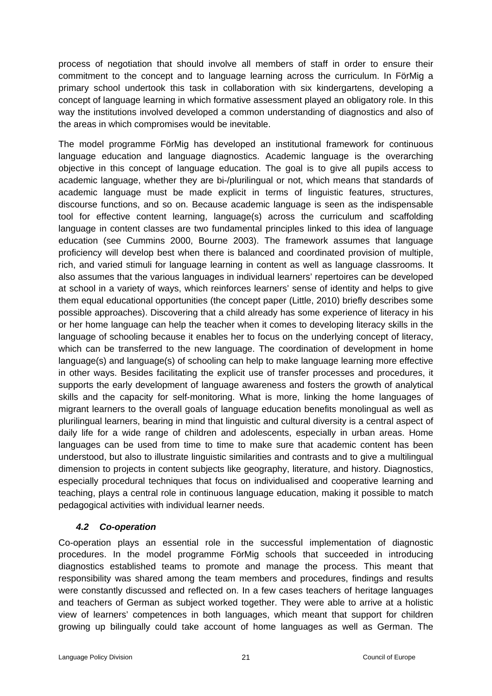process of negotiation that should involve all members of staff in order to ensure their commitment to the concept and to language learning across the curriculum. In FörMig a primary school undertook this task in collaboration with six kindergartens, developing a concept of language learning in which formative assessment played an obligatory role. In this way the institutions involved developed a common understanding of diagnostics and also of the areas in which compromises would be inevitable.

The model programme FörMig has developed an institutional framework for continuous language education and language diagnostics. Academic language is the overarching objective in this concept of language education. The goal is to give all pupils access to academic language, whether they are bi-/plurilingual or not, which means that standards of academic language must be made explicit in terms of linguistic features, structures, discourse functions, and so on. Because academic language is seen as the indispensable tool for effective content learning, language(s) across the curriculum and scaffolding language in content classes are two fundamental principles linked to this idea of language education (see Cummins 2000, Bourne 2003). The framework assumes that language proficiency will develop best when there is balanced and coordinated provision of multiple, rich, and varied stimuli for language learning in content as well as language classrooms. It also assumes that the various languages in individual learners' repertoires can be developed at school in a variety of ways, which reinforces learners' sense of identity and helps to give them equal educational opportunities (the concept paper (Little, 2010) briefly describes some possible approaches). Discovering that a child already has some experience of literacy in his or her home language can help the teacher when it comes to developing literacy skills in the language of schooling because it enables her to focus on the underlying concept of literacy, which can be transferred to the new language. The coordination of development in home language(s) and language(s) of schooling can help to make language learning more effective in other ways. Besides facilitating the explicit use of transfer processes and procedures, it supports the early development of language awareness and fosters the growth of analytical skills and the capacity for self-monitoring. What is more, linking the home languages of migrant learners to the overall goals of language education benefits monolingual as well as plurilingual learners, bearing in mind that linguistic and cultural diversity is a central aspect of daily life for a wide range of children and adolescents, especially in urban areas. Home languages can be used from time to time to make sure that academic content has been understood, but also to illustrate linguistic similarities and contrasts and to give a multilingual dimension to projects in content subjects like geography, literature, and history. Diagnostics, especially procedural techniques that focus on individualised and cooperative learning and teaching, plays a central role in continuous language education, making it possible to match pedagogical activities with individual learner needs.

### <span id="page-20-0"></span>*4.2 Co-operation*

Co-operation plays an essential role in the successful implementation of diagnostic procedures. In the model programme FörMig schools that succeeded in introducing diagnostics established teams to promote and manage the process. This meant that responsibility was shared among the team members and procedures, findings and results were constantly discussed and reflected on. In a few cases teachers of heritage languages and teachers of German as subject worked together. They were able to arrive at a holistic view of learners' competences in both languages, which meant that support for children growing up bilingually could take account of home languages as well as German. The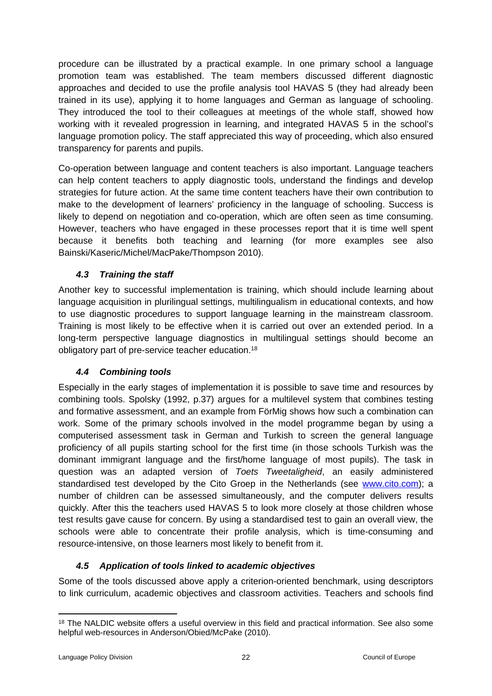procedure can be illustrated by a practical example. In one primary school a language promotion team was established. The team members discussed different diagnostic approaches and decided to use the profile analysis tool HAVAS 5 (they had already been trained in its use), applying it to home languages and German as language of schooling. They introduced the tool to their colleagues at meetings of the whole staff, showed how working with it revealed progression in learning, and integrated HAVAS 5 in the school's language promotion policy. The staff appreciated this way of proceeding, which also ensured transparency for parents and pupils.

Co-operation between language and content teachers is also important. Language teachers can help content teachers to apply diagnostic tools, understand the findings and develop strategies for future action. At the same time content teachers have their own contribution to make to the development of learners' proficiency in the language of schooling. Success is likely to depend on negotiation and co-operation, which are often seen as time consuming. However, teachers who have engaged in these processes report that it is time well spent because it benefits both teaching and learning (for more examples see also Bainski/Kaseric/Michel/MacPake/Thompson 2010).

# <span id="page-21-0"></span>*4.3 Training the staff*

Another key to successful implementation is training, which should include learning about language acquisition in plurilingual settings, multilingualism in educational contexts, and how to use diagnostic procedures to support language learning in the mainstream classroom. Training is most likely to be effective when it is carried out over an extended period. In a long-term perspective language diagnostics in multilingual settings should become an obligatory part of pre-service teacher education.<sup>18</sup>

### <span id="page-21-1"></span>*4.4 Combining tools*

Especially in the early stages of implementation it is possible to save time and resources by combining tools. Spolsky (1992, p.37) argues for a multilevel system that combines testing and formative assessment, and an example from FörMig shows how such a combination can work. Some of the primary schools involved in the model programme began by using a computerised assessment task in German and Turkish to screen the general language proficiency of all pupils starting school for the first time (in those schools Turkish was the dominant immigrant language and the first/home language of most pupils). The task in question was an adapted version of *Toets Tweetaligheid*, an easily administered standardised test developed by the Cito Groep in the Netherlands (see [www.cito.com\)](http://www.cito.com/); a number of children can be assessed simultaneously, and the computer delivers results quickly. After this the teachers used HAVAS 5 to look more closely at those children whose test results gave cause for concern. By using a standardised test to gain an overall view, the schools were able to concentrate their profile analysis, which is time-consuming and resource-intensive, on those learners most likely to benefit from it.

### <span id="page-21-2"></span>*4.5 Application of tools linked to academic objectives*

Some of the tools discussed above apply a criterion-oriented benchmark, using descriptors to link curriculum, academic objectives and classroom activities. Teachers and schools find

<sup>&</sup>lt;sup>18</sup> The NALDIC website offers a useful overview in this field and practical information. See also some helpful web-resources in Anderson/Obied/McPake (2010).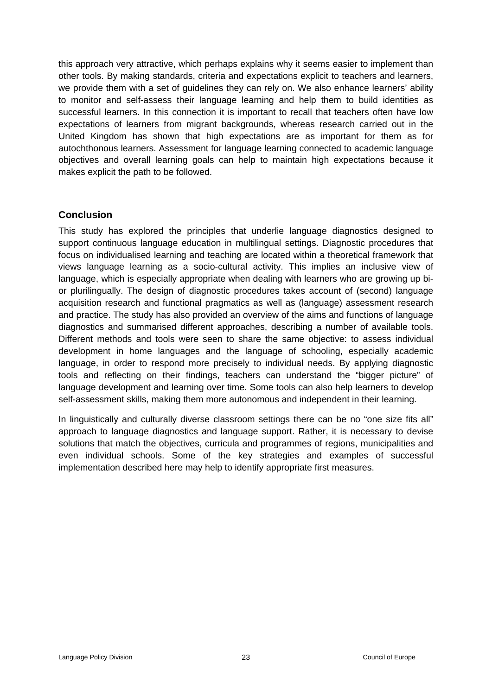this approach very attractive, which perhaps explains why it seems easier to implement than other tools. By making standards, criteria and expectations explicit to teachers and learners, we provide them with a set of quidelines they can rely on. We also enhance learners' ability to monitor and self-assess their language learning and help them to build identities as successful learners. In this connection it is important to recall that teachers often have low expectations of learners from migrant backgrounds, whereas research carried out in the United Kingdom has shown that high expectations are as important for them as for autochthonous learners. Assessment for language learning connected to academic language objectives and overall learning goals can help to maintain high expectations because it makes explicit the path to be followed.

### <span id="page-22-0"></span>**Conclusion**

This study has explored the principles that underlie language diagnostics designed to support continuous language education in multilingual settings. Diagnostic procedures that focus on individualised learning and teaching are located within a theoretical framework that views language learning as a socio-cultural activity. This implies an inclusive view of language, which is especially appropriate when dealing with learners who are growing up bior plurilingually. The design of diagnostic procedures takes account of (second) language acquisition research and functional pragmatics as well as (language) assessment research and practice. The study has also provided an overview of the aims and functions of language diagnostics and summarised different approaches, describing a number of available tools. Different methods and tools were seen to share the same objective: to assess individual development in home languages and the language of schooling, especially academic language, in order to respond more precisely to individual needs. By applying diagnostic tools and reflecting on their findings, teachers can understand the "bigger picture" of language development and learning over time. Some tools can also help learners to develop self-assessment skills, making them more autonomous and independent in their learning.

In linguistically and culturally diverse classroom settings there can be no "one size fits all" approach to language diagnostics and language support. Rather, it is necessary to devise solutions that match the objectives, curricula and programmes of regions, municipalities and even individual schools. Some of the key strategies and examples of successful implementation described here may help to identify appropriate first measures.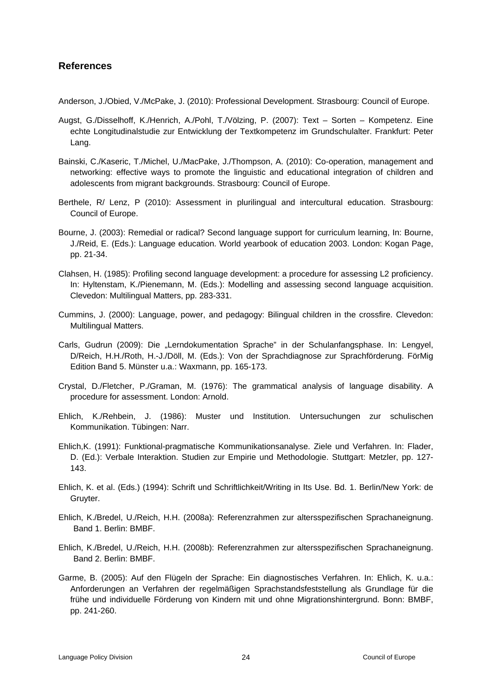### <span id="page-23-0"></span>**References**

Anderson, J./Obied, V./McPake, J. (2010): Professional Development. Strasbourg: Council of Europe.

- Augst, G./Disselhoff, K./Henrich, A./Pohl, T./Völzing, P. (2007): Text Sorten Kompetenz. Eine echte Longitudinalstudie zur Entwicklung der Textkompetenz im Grundschulalter. Frankfurt: Peter Lang.
- Bainski, C./Kaseric, T./Michel, U./MacPake, J./Thompson, A. (2010): Co-operation, management and networking: effective ways to promote the linguistic and educational integration of children and adolescents from migrant backgrounds. Strasbourg: Council of Europe.
- Berthele, R/ Lenz, P (2010): Assessment in plurilingual and intercultural education. Strasbourg: Council of Europe.
- Bourne, J. (2003): Remedial or radical? Second language support for curriculum learning, In: Bourne, J./Reid, E. (Eds.): Language education. World yearbook of education 2003. London: Kogan Page, pp. 21-34.
- Clahsen, H. (1985): Profiling second language development: a procedure for assessing L2 proficiency. In: Hyltenstam, K./Pienemann, M. (Eds.): Modelling and assessing second language acquisition. Clevedon: Multilingual Matters, pp. 283-331.
- Cummins, J. (2000): Language, power, and pedagogy: Bilingual children in the crossfire. Clevedon: Multilingual Matters.
- Carls, Gudrun (2009): Die "Lerndokumentation Sprache" in der Schulanfangsphase. In: Lengyel, D/Reich, H.H./Roth, H.-J./Döll, M. (Eds.): Von der Sprachdiagnose zur Sprachförderung. FörMig Edition Band 5. Münster u.a.: Waxmann, pp. 165-173.
- Crystal, D./Fletcher, P./Graman, M. (1976): The grammatical analysis of language disability. A procedure for assessment. London: Arnold.
- Ehlich, K./Rehbein, J. (1986): Muster und Institution. Untersuchungen zur schulischen Kommunikation. Tübingen: Narr.
- Ehlich,K. (1991): Funktional-pragmatische Kommunikationsanalyse. Ziele und Verfahren. In: Flader, D. (Ed.): Verbale Interaktion. Studien zur Empirie und Methodologie. Stuttgart: Metzler, pp. 127- 143.
- Ehlich, K. et al. (Eds.) (1994): Schrift und Schriftlichkeit/Writing in Its Use. Bd. 1. Berlin/New York: de Gruyter.
- Ehlich, K./Bredel, U./Reich, H.H. (2008a): Referenzrahmen zur altersspezifischen Sprachaneignung. Band 1. Berlin: BMBF.
- Ehlich, K./Bredel, U./Reich, H.H. (2008b): Referenzrahmen zur altersspezifischen Sprachaneignung. Band 2. Berlin: BMBF.
- Garme, B. (2005): Auf den Flügeln der Sprache: Ein diagnostisches Verfahren. In: Ehlich, K. u.a.: Anforderungen an Verfahren der regelmäßigen Sprachstandsfeststellung als Grundlage für die frühe und individuelle Förderung von Kindern mit und ohne Migrationshintergrund. Bonn: BMBF, pp. 241-260.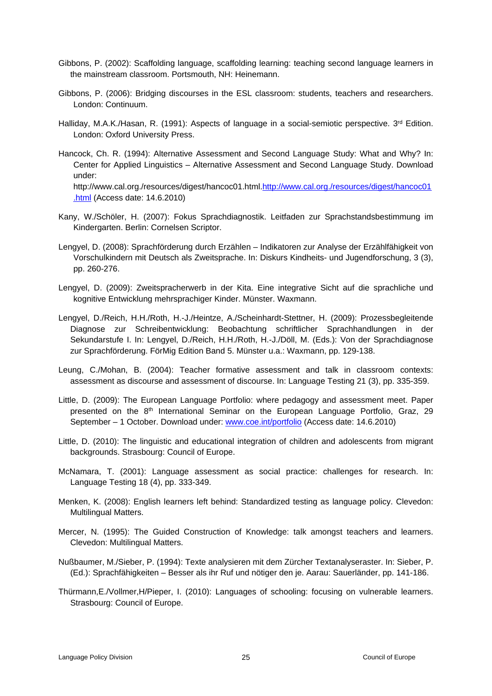- Gibbons, P. (2002): Scaffolding language, scaffolding learning: teaching second language learners in the mainstream classroom. Portsmouth, NH: Heinemann.
- Gibbons, P. (2006): Bridging discourses in the ESL classroom: students, teachers and researchers. London: Continuum.
- Halliday, M.A.K./Hasan, R. (1991): Aspects of language in a social-semiotic perspective. 3<sup>rd</sup> Edition. London: Oxford University Press.
- Hancock, Ch. R. (1994): Alternative Assessment and Second Language Study: What and Why? In: Center for Applied Linguistics – Alternative Assessment and Second Language Study. Download under: http://www.cal.org./resources/digest/hancoc01.html.http://www.cal.org./resources/digest/hancoc01 .html (Access date: 14.6.2010)
- Kany, W./Schöler, H. (2007): Fokus Sprachdiagnostik. Leitfaden zur Sprachstandsbestimmung im Kindergarten. Berlin: Cornelsen Scriptor.
- Lengyel, D. (2008): Sprachförderung durch Erzählen Indikatoren zur Analyse der Erzählfähigkeit von Vorschulkindern mit Deutsch als Zweitsprache. In: Diskurs Kindheits- und Jugendforschung, 3 (3), pp. 260-276.
- Lengyel, D. (2009): Zweitspracherwerb in der Kita. Eine integrative Sicht auf die sprachliche und kognitive Entwicklung mehrsprachiger Kinder. Münster. Waxmann.
- Lengyel, D./Reich, H.H./Roth, H.-J./Heintze, A./Scheinhardt-Stettner, H. (2009): Prozessbegleitende Diagnose zur Schreibentwicklung: Beobachtung schriftlicher Sprachhandlungen in der Sekundarstufe I. In: Lengyel, D./Reich, H.H./Roth, H.-J./Döll, M. (Eds.): Von der Sprachdiagnose zur Sprachförderung. FörMig Edition Band 5. Münster u.a.: Waxmann, pp. 129-138.
- Leung, C./Mohan, B. (2004): Teacher formative assessment and talk in classroom contexts: assessment as discourse and assessment of discourse. In: Language Testing 21 (3), pp. 335-359.
- Little, D. (2009): The European Language Portfolio: where pedagogy and assessment meet. Paper presented on the 8<sup>th</sup> International Seminar on the European Language Portfolio, Graz, 29 September – 1 October. Download under: [www.coe.int/portfolio](http://www.coe.int/portfolio) (Access date: 14.6.2010)
- Little, D. (2010): The linguistic and educational integration of children and adolescents from migrant backgrounds. Strasbourg: Council of Europe.
- McNamara, T. (2001): Language assessment as social practice: challenges for research. In: Language Testing 18 (4), pp. 333-349.
- Menken, K. (2008): English learners left behind: Standardized testing as language policy. Clevedon: Multilingual Matters.
- Mercer, N. (1995): The Guided Construction of Knowledge: talk amongst teachers and learners. Clevedon: Multilingual Matters.
- Nußbaumer, M./Sieber, P. (1994): Texte analysieren mit dem Zürcher Textanalyseraster. In: Sieber, P. (Ed.): Sprachfähigkeiten – Besser als ihr Ruf und nötiger den je. Aarau: Sauerländer, pp. 141-186.
- Thürmann,E./Vollmer,H/Pieper, I. (2010): Languages of schooling: focusing on vulnerable learners. Strasbourg: Council of Europe.